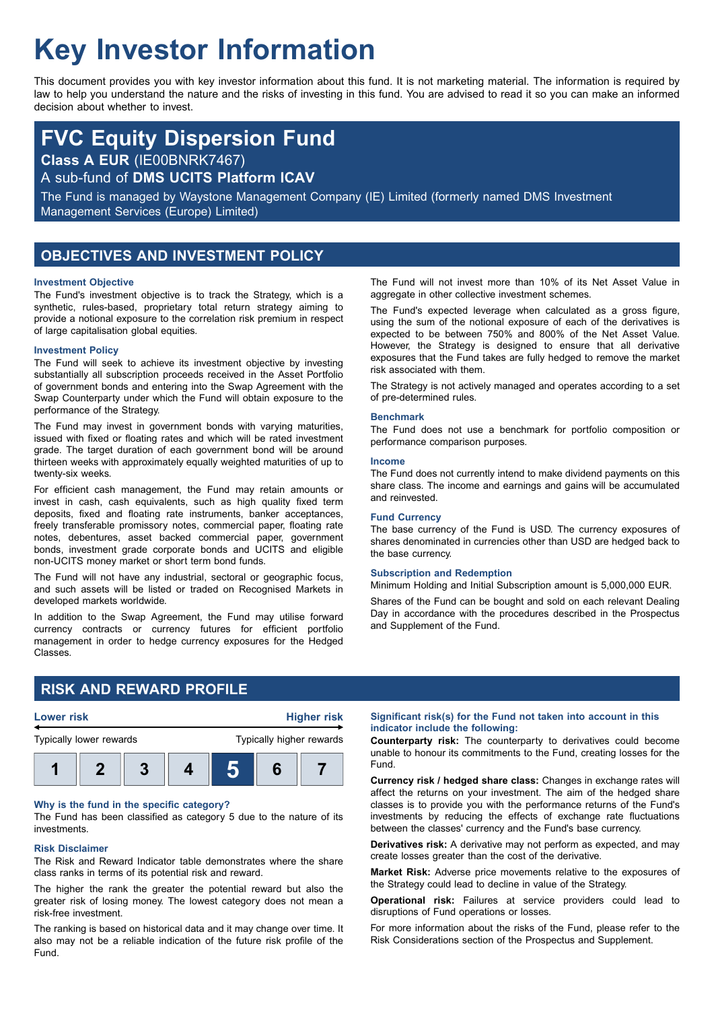# **Key Investor Information**

This document provides you with key investor information about this fund. It is not marketing material. The information is required by law to help you understand the nature and the risks of investing in this fund. You are advised to read it so you can make an informed decision about whether to invest.

## **FVC Equity Dispersion Fund**

**Class A EUR** (IE00BNRK7467)

A sub-fund of **DMS UCITS Platform ICAV**

The Fund is managed by Waystone Management Company (IE) Limited (formerly named DMS Investment Management Services (Europe) Limited)

## **OBJECTIVES AND INVESTMENT POLICY**

#### **Investment Objective**

The Fund's investment objective is to track the Strategy, which is a synthetic, rules-based, proprietary total return strategy aiming to provide a notional exposure to the correlation risk premium in respect of large capitalisation global equities.

#### **Investment Policy**

The Fund will seek to achieve its investment objective by investing substantially all subscription proceeds received in the Asset Portfolio of government bonds and entering into the Swap Agreement with the Swap Counterparty under which the Fund will obtain exposure to the performance of the Strategy.

The Fund may invest in government bonds with varying maturities, issued with fixed or floating rates and which will be rated investment grade. The target duration of each government bond will be around thirteen weeks with approximately equally weighted maturities of up to twenty-six weeks.

For efficient cash management, the Fund may retain amounts or invest in cash, cash equivalents, such as high quality fixed term deposits, fixed and floating rate instruments, banker acceptances, freely transferable promissory notes, commercial paper, floating rate notes, debentures, asset backed commercial paper, government bonds, investment grade corporate bonds and UCITS and eligible non-UCITS money market or short term bond funds.

The Fund will not have any industrial, sectoral or geographic focus, and such assets will be listed or traded on Recognised Markets in developed markets worldwide.

In addition to the Swap Agreement, the Fund may utilise forward currency contracts or currency futures for efficient portfolio management in order to hedge currency exposures for the Hedged Classes.

The Fund will not invest more than 10% of its Net Asset Value in aggregate in other collective investment schemes.

The Fund's expected leverage when calculated as a gross figure, using the sum of the notional exposure of each of the derivatives is expected to be between 750% and 800% of the Net Asset Value. However, the Strategy is designed to ensure that all derivative exposures that the Fund takes are fully hedged to remove the market risk associated with them.

The Strategy is not actively managed and operates according to a set of pre-determined rules.

#### **Benchmark**

The Fund does not use a benchmark for portfolio composition or performance comparison purposes.

#### **Income**

The Fund does not currently intend to make dividend payments on this share class. The income and earnings and gains will be accumulated and reinvested.

#### **Fund Currency**

The base currency of the Fund is USD. The currency exposures of shares denominated in currencies other than USD are hedged back to the base currency.

#### **Subscription and Redemption**

Minimum Holding and Initial Subscription amount is 5,000,000 EUR.

Shares of the Fund can be bought and sold on each relevant Dealing Day in accordance with the procedures described in the Prospectus and Supplement of the Fund.

## **RISK AND REWARD PROFILE**



#### **Why is the fund in the specific category?**

The Fund has been classified as category 5 due to the nature of its investments.

#### **Risk Disclaimer**

The Risk and Reward Indicator table demonstrates where the share class ranks in terms of its potential risk and reward.

The higher the rank the greater the potential reward but also the greater risk of losing money. The lowest category does not mean a risk-free investment.

The ranking is based on historical data and it may change over time. It also may not be a reliable indication of the future risk profile of the Fund.

#### **Significant risk(s) for the Fund not taken into account in this indicator include the following:**

**Counterparty risk:** The counterparty to derivatives could become unable to honour its commitments to the Fund, creating losses for the Fund.

**Currency risk / hedged share class:** Changes in exchange rates will affect the returns on your investment. The aim of the hedged share classes is to provide you with the performance returns of the Fund's investments by reducing the effects of exchange rate fluctuations between the classes' currency and the Fund's base currency.

**Derivatives risk:** A derivative may not perform as expected, and may create losses greater than the cost of the derivative.

**Market Risk:** Adverse price movements relative to the exposures of the Strategy could lead to decline in value of the Strategy.

**Operational risk:** Failures at service providers could lead to disruptions of Fund operations or losses.

For more information about the risks of the Fund, please refer to the Risk Considerations section of the Prospectus and Supplement.